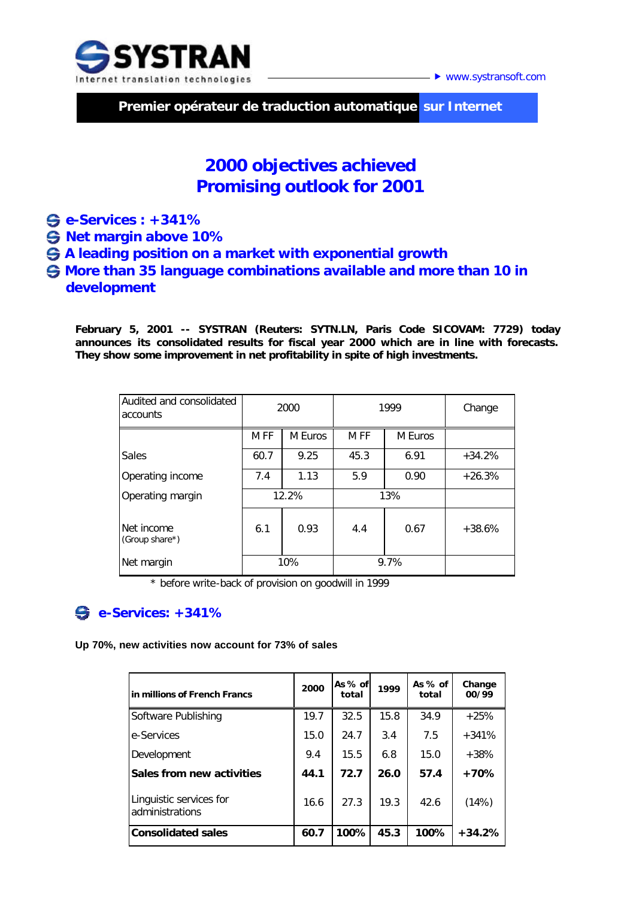

▶ www.systransoft.com

 **Premier opérateur de traduction automatique sur Internet**

# **2000 objectives achieved Promising outlook for 2001**

- **e-Services : +341%**
- **Net margin above 10%**
- *\*1999 : hors reprise de provision sur le fonds commercial.*   **A leading position on a market with exponential growth**
- **More than 35 language combinations available and more than 10 in development**

**February 5, 2001 -- SYSTRAN (Reuters: SYTN.LN, Paris Code SICOVAM: 7729) today announces its consolidated results for fiscal year 2000 which are in line with forecasts. They show some improvement in net profitability in spite of high investments.** 

| Audited and consolidated<br>accounts | 2000  |         | 1999 | Change  |          |
|--------------------------------------|-------|---------|------|---------|----------|
|                                      | M FF  | M Euros | M FF | M Euros |          |
| Sales                                | 60.7  | 9.25    | 45.3 | 6.91    | $+34.2%$ |
| Operating income                     | 7.4   | 1.13    | 5.9  | 0.90    | $+26.3%$ |
| Operating margin                     | 12.2% |         | 13%  |         |          |
| Net income<br>(Group share*)         | 6.1   | 0.93    | 4.4  | 0.67    | $+38.6%$ |
| Net margin                           | 10%   |         | 9.7% |         |          |

*\* before write-back of provision on goodwill in 1999*

## **e-Services: +341%**

**Up 70%, new activities now account for 73% of sales**

| lin millions of French Francs              | 2000 | As % of<br>total | 1999 | As % of<br>total | Change<br>00/99 |
|--------------------------------------------|------|------------------|------|------------------|-----------------|
| Software Publishing                        | 19.7 | 32.5             | 15.8 | 34.9             | $+25%$          |
| e-Services                                 | 15.0 | 24.7             | 3.4  | 7.5              | $+341%$         |
| Development                                | 9.4  | 15.5             | 6.8  | 15.0             | $+38%$          |
| Sales from new activities                  | 44.1 | 72.7             | 26.0 | 57.4             | +70%            |
| Linguistic services for<br>administrations | 16.6 | 27.3             | 19.3 | 42.6             | (14%)           |
| <b>Consolidated sales</b>                  | 60.7 | 100%             | 45.3 | 100%             | $+34.2%$        |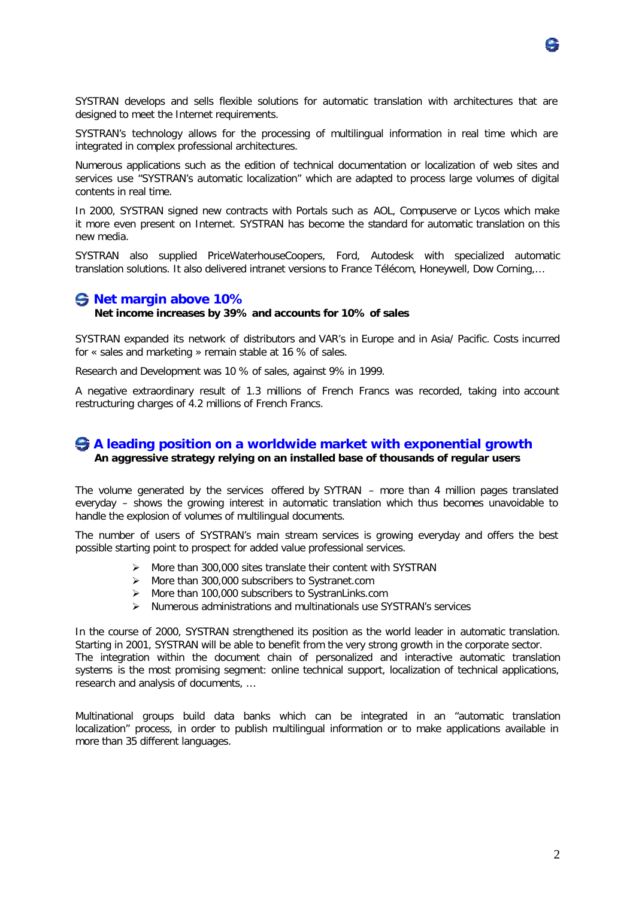

SYSTRAN's technology allows for the processing of multilingual information in real time which are integrated in complex professional architectures.

Numerous applications such as the edition of technical documentation or localization of web sites and services use "SYSTRAN's automatic localization" which are adapted to process large volumes of digital contents in real time.

In 2000, SYSTRAN signed new contracts with Portals such as AOL, Compuserve or Lycos which make it more even present on Internet. SYSTRAN has become the standard for automatic translation on this new media.

SYSTRAN also supplied PriceWaterhouseCoopers, Ford, Autodesk with specialized automatic translation solutions. It also delivered intranet versions to France Télécom, Honeywell, Dow Corning,…

## **Net margin above 10%**

#### **Net income increases by 39% and accounts for 10% of sales**

SYSTRAN expanded its network of distributors and VAR's in Europe and in Asia/ Pacific. Costs incurred for « sales and marketing » remain stable at 16 % of sales.

Research and Development was 10 % of sales, against 9% in 1999.

A negative extraordinary result of 1.3 millions of French Francs was recorded, taking into account restructuring charges of 4.2 millions of French Francs.

## **A leading position on a worldwide market with exponential growth An aggressive strategy relying on an installed base of thousands of regular users**

The volume generated by the services offered by SYTRAN – more than 4 million pages translated everyday – shows the growing interest in automatic translation which thus becomes unavoidable to handle the explosion of volumes of multilingual documents.

The number of users of SYSTRAN's main stream services is growing everyday and offers the best possible starting point to prospect for added value professional services.

- $\triangleright$  More than 300,000 sites translate their content with SYSTRAN
- $\triangleright$  More than 300,000 subscribers to Systranet.com
- $\triangleright$  More than 100,000 subscribers to SystranLinks.com
- $\triangleright$  Numerous administrations and multinationals use SYSTRAN's services

In the course of 2000, SYSTRAN strengthened its position as the world leader in automatic translation. Starting in 2001, SYSTRAN will be able to benefit from the very strong growth in the corporate sector. The integration within the document chain of personalized and interactive automatic translation systems is the most promising segment: online technical support, localization of technical applications, research and analysis of documents, …

Multinational groups build data banks which can be integrated in an "automatic translation localization" process, in order to publish multilingual information or to make applications available in more than 35 different languages.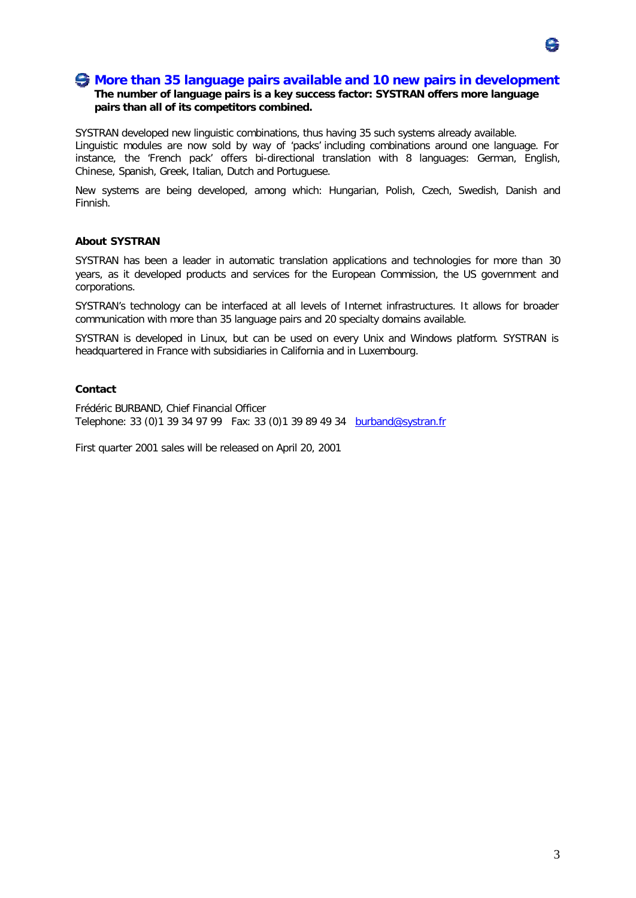## **More than 35 language pairs available and 10 new pairs in development**

## **The number of language pairs is a key success factor: SYSTRAN offers more language pairs than all of its competitors combined.**

SYSTRAN developed new linguistic combinations, thus having 35 such systems already available. Linguistic modules are now sold by way of 'packs' including combinations around one language. For instance, the 'French pack' offers bi-directional translation with 8 languages: German, English, Chinese, Spanish, Greek, Italian, Dutch and Portuguese.

New systems are being developed, among which: Hungarian, Polish, Czech, Swedish, Danish and Finnish.

#### **About SYSTRAN**

SYSTRAN has been a leader in automatic translation applications and technologies for more than 30 years, as it developed products and services for the European Commission, the US government and corporations.

SYSTRAN's technology can be interfaced at all levels of Internet infrastructures. It allows for broader communication with more than 35 language pairs and 20 specialty domains available.

SYSTRAN is developed in Linux, but can be used on every Unix and Windows platform. SYSTRAN is headquartered in France with subsidiaries in California and in Luxembourg.

## **Contact**

Frédéric BURBAND, Chief Financial Officer Telephone: 33 (0)1 39 34 97 99 Fax: 33 (0)1 39 89 49 34 burband@systran.fr

First quarter 2001 sales will be released on April 20, 2001

속